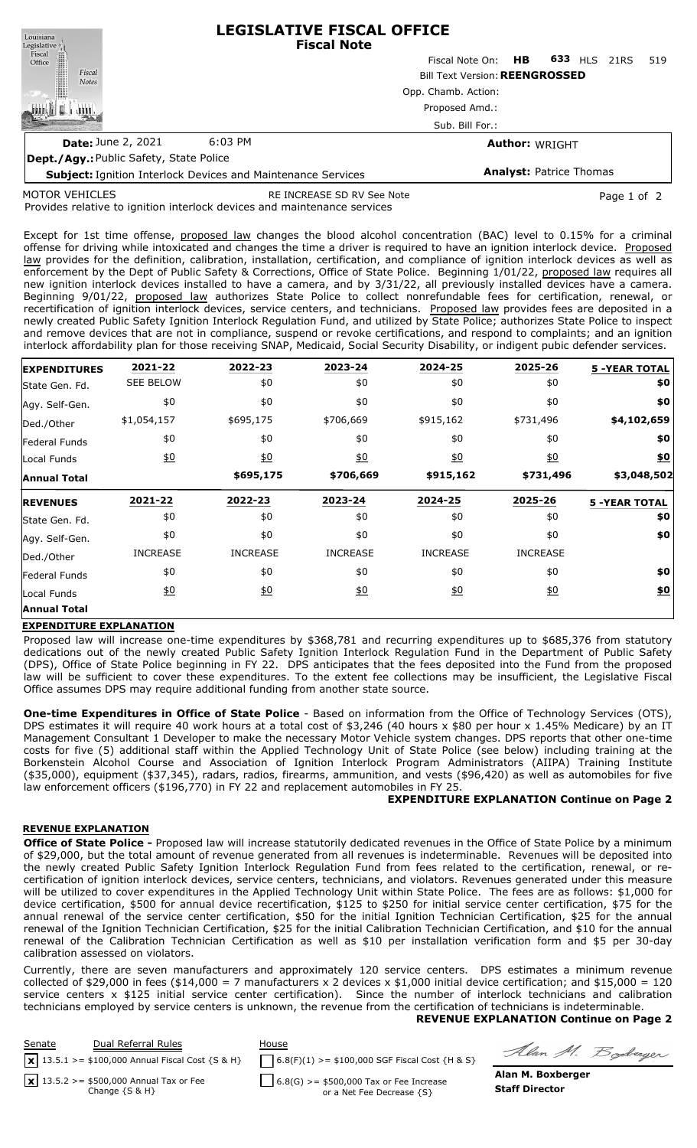| Louisiana                                                           | <b>LEGISLATIVE FISCAL OFFICE</b><br><b>Fiscal Note</b> |                     |                                |                       |      |     |
|---------------------------------------------------------------------|--------------------------------------------------------|---------------------|--------------------------------|-----------------------|------|-----|
| Legislative<br>Fiscal<br>Office                                     |                                                        | Fiscal Note On:     | <b>HB</b>                      | 633 HLS               | 21RS | 519 |
| Fiscal<br><b>Notes</b>                                              | <b>Bill Text Version: REENGROSSED</b>                  |                     |                                |                       |      |     |
|                                                                     |                                                        | Opp. Chamb. Action: |                                |                       |      |     |
|                                                                     |                                                        | Proposed Amd.:      |                                |                       |      |     |
|                                                                     |                                                        | Sub. Bill For.:     |                                |                       |      |     |
| <b>Date: June 2, 2021</b>                                           | $6:03$ PM                                              |                     |                                | <b>Author: WRIGHT</b> |      |     |
| Dept./Agy.: Public Safety, State Police                             |                                                        |                     |                                |                       |      |     |
| <b>Subject: Ignition Interlock Devices and Maintenance Services</b> |                                                        |                     | <b>Analyst: Patrice Thomas</b> |                       |      |     |

MOTOR VEHICLES

RE INCREASE SD RV See Note **Page 1 of 2** and 2

Provides relative to ignition interlock devices and maintenance services

Except for 1st time offense, proposed law changes the blood alcohol concentration (BAC) level to 0.15% for a criminal offense for driving while intoxicated and changes the time a driver is required to have an ignition interlock device. Proposed law provides for the definition, calibration, installation, certification, and compliance of ignition interlock devices as well as enforcement by the Dept of Public Safety & Corrections, Office of State Police. Beginning 1/01/22, proposed law requires all new ignition interlock devices installed to have a camera, and by 3/31/22, all previously installed devices have a camera. Beginning 9/01/22, proposed law authorizes State Police to collect nonrefundable fees for certification, renewal, or recertification of ignition interlock devices, service centers, and technicians. Proposed law provides fees are deposited in a newly created Public Safety Ignition Interlock Regulation Fund, and utilized by State Police; authorizes State Police to inspect and remove devices that are not in compliance, suspend or revoke certifications, and respond to complaints; and an ignition interlock affordability plan for those receiving SNAP, Medicaid, Social Security Disability, or indigent pubic defender services.

| <b>EXPENDITURES</b>  | 2021-22          | 2022-23          | 2023-24          | 2024-25          | 2025-26          | <b>5 -YEAR TOTAL</b> |
|----------------------|------------------|------------------|------------------|------------------|------------------|----------------------|
| State Gen. Fd.       | <b>SEE BELOW</b> | \$0              | \$0              | \$0              | \$0              | \$0                  |
| Agy. Self-Gen.       | \$0              | \$0              | \$0              | \$0              | \$0              | \$0                  |
| Ded./Other           | \$1,054,157      | \$695,175        | \$706,669        | \$915,162        | \$731,496        | \$4,102,659          |
| <b>Federal Funds</b> | \$0              | \$0              | \$0              | \$0              | \$0              | \$0                  |
| Local Funds          | $\underline{50}$ | $\underline{40}$ | $\underline{40}$ | $\underline{40}$ | $\underline{50}$ | \$0                  |
| <b>Annual Total</b>  |                  | \$695,175        | \$706,669        | \$915,162        | \$731,496        | \$3,048,502          |
| <b>REVENUES</b>      | 2021-22          | 2022-23          | 2023-24          | 2024-25          | 2025-26          | <b>5 -YEAR TOTAL</b> |
| State Gen. Fd.       | \$0              | \$0              | \$0              | \$0              | \$0              | \$0                  |
| Agy. Self-Gen.       | \$0              | \$0              | \$0              | \$0              | \$0              | \$0                  |
| Ded./Other           | <b>INCREASE</b>  | <b>INCREASE</b>  | <b>INCREASE</b>  | <b>INCREASE</b>  | <b>INCREASE</b>  |                      |
|                      |                  |                  |                  |                  |                  |                      |
| Federal Funds        | \$0              | \$0              | \$0              | \$0              | \$0              | \$0                  |
| Local Funds          | $\underline{50}$ | 60               | 60               | <u>\$0</u>       | $\underline{50}$ | <u>\$0</u>           |

# **EXPENDITURE EXPLANATION**

Proposed law will increase one-time expenditures by \$368,781 and recurring expenditures up to \$685,376 from statutory dedications out of the newly created Public Safety Ignition Interlock Regulation Fund in the Department of Public Safety (DPS), Office of State Police beginning in FY 22. DPS anticipates that the fees deposited into the Fund from the proposed law will be sufficient to cover these expenditures. To the extent fee collections may be insufficient, the Legislative Fiscal Office assumes DPS may require additional funding from another state source.

**One-time Expenditures in Office of State Police** - Based on information from the Office of Technology Services (OTS), DPS estimates it will require 40 work hours at a total cost of \$3,246 (40 hours x \$80 per hour x 1.45% Medicare) by an IT Management Consultant 1 Developer to make the necessary Motor Vehicle system changes. DPS reports that other one-time costs for five (5) additional staff within the Applied Technology Unit of State Police (see below) including training at the Borkenstein Alcohol Course and Association of Ignition Interlock Program Administrators (AIIPA) Training Institute (\$35,000), equipment (\$37,345), radars, radios, firearms, ammunition, and vests (\$96,420) as well as automobiles for five law enforcement officers (\$196,770) in FY 22 and replacement automobiles in FY 25.

# **EXPENDITURE EXPLANATION Continue on Page 2**

# **REVENUE EXPLANATION**

**Office of State Police -** Proposed law will increase statutorily dedicated revenues in the Office of State Police by a minimum of \$29,000, but the total amount of revenue generated from all revenues is indeterminable. Revenues will be deposited into the newly created Public Safety Ignition Interlock Regulation Fund from fees related to the certification, renewal, or recertification of ignition interlock devices, service centers, technicians, and violators. Revenues generated under this measure will be utilized to cover expenditures in the Applied Technology Unit within State Police. The fees are as follows: \$1,000 for device certification, \$500 for annual device recertification, \$125 to \$250 for initial service center certification, \$75 for the annual renewal of the service center certification, \$50 for the initial Ignition Technician Certification, \$25 for the annual renewal of the Ignition Technician Certification, \$25 for the initial Calibration Technician Certification, and \$10 for the annual renewal of the Calibration Technician Certification as well as \$10 per installation verification form and \$5 per 30-day calibration assessed on violators.

Currently, there are seven manufacturers and approximately 120 service centers. DPS estimates a minimum revenue collected of \$29,000 in fees (\$14,000 = 7 manufacturers x 2 devices x \$1,000 initial device certification; and \$15,000 = 120 service centers x \$125 initial service center certification). Since the number of interlock technicians and calibration technicians employed by service centers is unknown, the revenue from the certification of technicians is indeterminable. **REVENUE EXPLANATION Continue on Page 2**

| Senate | Dual Referral Rules<br>$\mathbf{x}$ 13.5.1 >= \$100,000 Annual Fiscal Cost {S & H} | House<br>$6.8(F)(1)$ >= \$100,000 SGF Fiscal Cost {H & S} | Alan M. Boderger      |
|--------|------------------------------------------------------------------------------------|-----------------------------------------------------------|-----------------------|
|        | $\boxed{\mathbf{x}}$ 13.5.2 >= \$500,000 Annual Tax or Fee                         | $6.8(G)$ >= \$500,000 Tax or Fee Increase                 | Alan M. Boxberger     |
|        | Change $\{S \& H\}$                                                                | or a Net Fee Decrease {S}                                 | <b>Staff Director</b> |